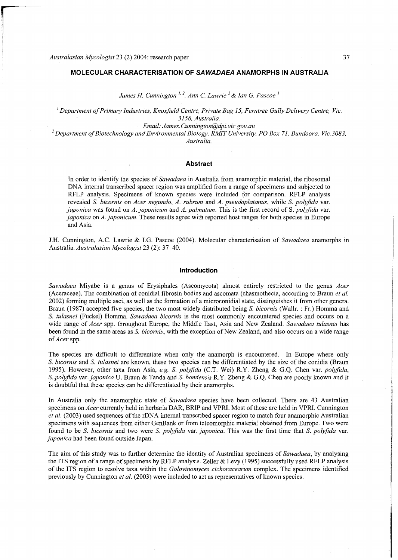*James H. Cunnington ''<sup>2</sup> , Ann C. Lawrie 2 & Ian G. Pascoe<sup>1</sup>*

*1 Department of Primary Industries, Knoxfield Centre, Private Bag 15, Ferntree Gully Delivery Centre, Vic. 3156, Australia.* 

*Email: James. Cunnington@dpi. [vic.gov.](http://vic.gov) au* 

*2 Department of Biotechnology and Environmental Biology, RMIT University, PO Box 71, Bundoora, Vic.3083, Australia.* 

#### **Abstract**

In order to identify the species of *Sawadaea* in Australia from anamorphic material, the ribosomal DNA internal transcribed spacer region was amplified from a range of specimens and subjected to RFLP analysis. Specimens of known species were included for comparison. RFLP analysis revealed *S. bicornis* on *Acer negundo, A. rubrum* and *A. pseudoplatanus,* while *S. polyfida* var. *japonica* was found on A. *japonicum* and A. *palmatum*. This is the first record of S. *polyfida* var. *japonica* on *A. japonicum.* These results agree with reported host ranges for both species in Europe and Asia.

J.H. Cunnington, A.C. Lawrie & I.G. Pascoe (2004). Molecular characterisation of Sawadaea anamorphs in Australia. *Australasian Mycologist* 23 (2): 37^10.

#### **Introduction**

*Sawadaea* Miyabe is a genus of Erysiphales (Ascomycota) almost entirely restricted to the genus *Acer* (Aceraceae). The combination of conidial fibrosin bodies and ascomata (chasmothecia, according to Braun *et al.*  2002) forming multiple asci, as well as the formation of a microconidial state, distinguishes it from other genera. Braun (1987) accepted five species, the two most widely distributed being *S. bicornis* (Wallr. : Fr.) Homma and *S. tulasnei* (Fuckel) Homma . *Sawadaea bicornis* is the most commonly encountered species and occurs on a wide range of *Acer* spp. throughout Europe, the Middle East, Asia and New Zealand. *Sawadaea tulasnei* has been found in the same areas as *S. bicornis*, with the exception of New Zealand, and also occurs on a wide range *of Acer* spp.

The species are difficult to differentiate when only the anamorph is encountered. In Europe where only *S. bicornis* and *S. tulasnei* are known, these two species can be differentiated by the size of the conidia (Braun 1995). However, other taxa from Asia, e.g. S. polyfida (C.T. Wei) R.Y. Zheng & G.Q. Chen var. polyfida, *S. polyfida var. japonica* U. Braun & Tanda and *S. bomiensis* R.Y. Zheng & G.Q. Chen are poorly known and it is doubtful that these species can be differentiated by their anamorphs.

In Australia only the anamorphic state of *Sawadaea* species have been collected. There are 43 Australian specimens on *Acer* currently held in herbaria DAR, BRIP and VPRI. Most of these are held in VPRI. Cunnington *et al.* (2003) used sequences of the rDNA internal transcribed spacer region to match four anamorphic Australian specimens with sequences from either GenBank or from teleomorphic material obtained from Europe. Two were found to be *S. bicornis* and two were *S. polyfida* var. *japonica*. This was the first time that *S. polyfida* var. *japonica* had been found outside Japan.

The aim of this study wa s to further determine the identity of Australian specimens of *Sawadaea,* by analysing the ITS region of a range of specimens by RFLP analysis. Zeller & Levy (1995) successfully used RFLP analysis of the ITS region to resolve taxa within the *Golovinomyces cichoraceamm* complex. The specimens identified previously by Cunnington *et al.* (2003) were included to act as representatives of known species.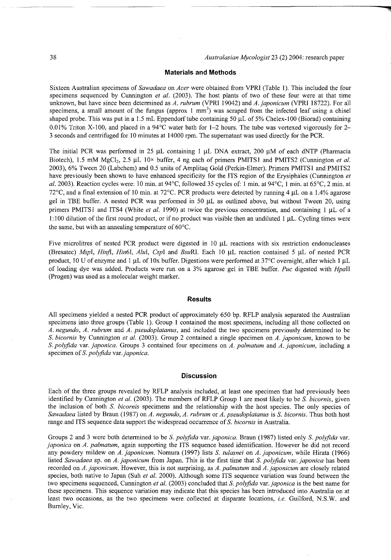## **Materials and Methods**

Sixteen Australian specimens of *Sawadaea* on *Acer* wer e obtained from VPRI (Table 1). This included the four specimens sequenced by Cunnington *et al.* (2003). The host plants of two of these four were at that time unknown, but have since been determined as *A. rubrum* (VPRI 19042) and *A. japonicum* (VPRI 18722). Fo r all specimens, a small amount of the fungus (approx 1 mm<sup>-</sup>) was scraped from the infected leaf using a chisel shaped probe. This was put in a 1.5 mL Eppendorf tube containing 50  $\mu$ L of 5% Chelex-100 (Biorad) containing 0.01% Triton X-100, and placed in a 94 $^{\circ}$ C water bath for 1-2 hours. The tube was vortexed vigorously for 2-3 seconds and centrifuged for 10 minutes at 14000 rpm. The supernatant was used directly for the PCR.

The initial PCR was performed in 25  $\mu$ L containing 1  $\mu$ L DNA extract, 200  $\mu$ M of each dNTP (Pharmacia Biotech), 1.5 mM MgCl<sub>2</sub>, 2.5 μL 10× buffer, 4 ng each of primers PMITS1 and PMITS2 (Cunnington *et al.* 2003), 6% Tween 20 (Labchem) and 0.5 units of Amplitaq Gold (Perkin-Elmer). Primers PMITS1 and PMITS2 have previously been shown to have enhanced specificity for the ITS region of the Erysiphales (Cunnington *et al.* 2003). Reaction cycles were: 10 min. at 94°C, followed 35 cycles of: 1 min. at 94°C, 1 min. at 65°C, 2 min. at 72 $^{\circ}$ C, and a final extension of 10 min. at 72 $^{\circ}$ C. PCR products were detected by running 4 µL on a 1.4% agarose gel in TBE buffer. A nested PCR was performed in 50  $\mu$ L as outlined above, but without Tween 20, using primers PMITS1 and ITS4 (White et al. 1990) at twice the previous concentration, and containing 1 µL of a 1:100 dilution of the first round product, or if no product was visible then an undiluted  $1 \mu L$ . Cycling times were the same, but with an annealing temperature of  $60^{\circ}$ C.

Five microlitres of nested PCR product were digested in 10 µL reactions with six restriction endonucleases (Bresatec) Mspl, Hinfl, Hin6l, Alul, Cspl and BsuRl. Each 10  $\mu$ L reaction contained 5  $\mu$ L of nested PCR product, 10 U of enzyme and 1 µL of 10x buffer. Digestions were performed at 37°C overnight, after which 1 µL of loading dye wa s added. Products wer e run on a 3 % agarose gel in TBE buffer. *Puc* digested with *HpaW*  (Progen) was used as a molecular weight marker.

## **Results**

All specimens yielded a nested PCR product of approximately 650 bp. RFLP analysis separated the Australian specimens into three groups (Table 1). Group 1 contained the most specimens, including all those collected on *A. negundo, A. rubrum* and *A. pseudoplatanus,* and included the two specimens previously determined to be *S. bicomis* by Cunnington *et al.* (2003). Group 2 contained a single specimen on *A. japonicum,* known to be *S.polyfida* var. *japonica.* Groups 3 contained four specimens on *A. palmatum* and *A. japonicum,* including a specimen of *S.polyfida var. japonica.* 

# **Discussion**

Each of the three groups revealed by RFLP analysis included, at least one specimen that had previously been identified by Cunnington *et al.* (2003). The members of RFLP Group 1 are most likely to be *S. bicomis,* given the inclusion of both *S. bicomis* specimens and the relationship with the host species. The only species of *Sawadaea* listed by Braun (1987) on *A. negundo, A. rubrum* or *A. pseudoplatanus* is *S. bicomis.* Thus both host range and ITS sequence data support the widespread occurrence of *S. bicornis* in Australia.

Groups 2 and 3 were both determined to be *S. polyfida* var. *japonica*. Braun (1987) listed only *S. polyfida* var. *japonica* on *A. palmatum*, again supporting the ITS sequence based identification. However he did not record any powdery mildew on *A. japonicum.* Nomura (1997) lists *S. tulasnei* on *A. japonicum*, while Hirata (1966) listed *Sawadaea* sp. on *A. japonicum* from Japan. This is the first time that *S. polyfida* var. *japonica* has been recorded on *A. japonicum.* However, this is not surprising, as *A. palmatum* and *A. japonicum* are closely related species, both native to Japan (Suh *et al.* 2000). Although some ITS sequence variation was found between the two specimens sequenced, Cunnington et al. (2003) concluded that *S. polyfida var. japonica* is the best name for these specimens. This sequence variation may indicate that this species has been introduced into Australia on at least two occasions, as the two specimens were collected at disparate locations, *i.e.* Guilford, N.S.W. and Burnley, Vic.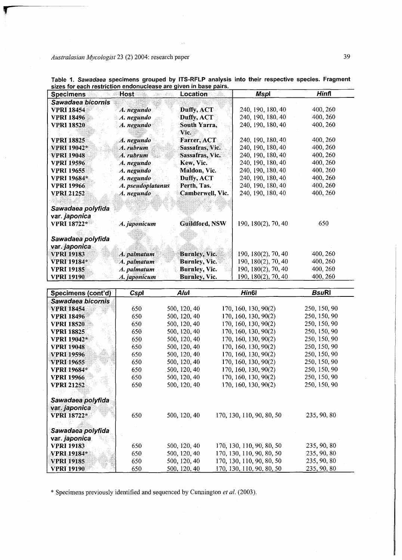| <b>Specimens</b>   | Host              | Location             | <b>Mspl</b>          | Hinfl        |
|--------------------|-------------------|----------------------|----------------------|--------------|
| Sawadaea bicornis  |                   |                      |                      |              |
| <b>VPRI 18454</b>  | A. negundo        | Duffy, ACT           | 240, 190, 180, 40    | 400, 260     |
| <b>VPRI 18496</b>  | A. negundo        | Duffy, ACT           | 240, 190, 180, 40    | 400, 260     |
| <b>VPRI 18520</b>  | A. negundo        | South Yarra,         | 240, 190, 180, 40    | 400, 260     |
|                    |                   | Vic.                 |                      |              |
| <b>VPRI 18825</b>  | A. negundo        | Farrer, ACT          | 240, 190, 180, 40    | 400, 260     |
| <b>VPRI 19042*</b> | A. rubrum         | Sassafras, Vic.      | 240, 190, 180, 40    | 400, 260     |
| <b>VPRI 19048</b>  | A. rubrum         | Sassafras, Vic.      | 240, 190, 180, 40    | 400, 260     |
| <b>VPRI 19596</b>  | A. negundo        | Kew, Vic.            | 240, 190, 180, 40    | 400, 260     |
| <b>VPRI 19655</b>  | A. negundo        | Maldon, Vic.         | 240, 190, 180, 40    | 400, 260     |
| <b>VPRI 19684*</b> | A. negundo        | Duffy, ACT           | 240, 190, 180, 40    | 400, 260     |
| <b>VPRI 19966</b>  | A. pseudoplatanus | Perth, Tas.          | 240, 190, 180, 40    | 400, 260     |
| <b>VPRI 21252</b>  | A. negundo        | Camberwell, Vic.     | 240, 190, 180, 40    | 400, 260     |
| Sawadaea polyfida  |                   |                      |                      |              |
| var. japonica      |                   |                      |                      |              |
| <b>VPRI 18722*</b> | A. japonicum      | Guildford, NSW       | 190, 180(2), 70, 40  | 650          |
| Sawadaea polyfida  |                   |                      |                      |              |
| var. japonica      |                   |                      |                      |              |
| <b>VPRI 19183</b>  | A. palmatum       | <b>Burnley, Vic.</b> | 190, 180(2), 70, 40  | 400, 260     |
| <b>VPRI 19184*</b> | A. palmatum       | <b>Burnley, Vic.</b> | 190, 180(2), 70, 40  | 400, 260     |
| <b>VPRI</b> 19185  | A. palmatum       | Burnley, Vic.        | 190, 180(2), 70, 40  | 400, 260     |
| <b>VPRI 19190</b>  | A. japonicum      | Burnley, Vic.        | 190, 180(2), 70, 40  | 400, 260     |
|                    |                   | Alul                 | Hin <sub>6</sub>     | <b>BsuRI</b> |
| Specimens (cont'd) | Cspl              |                      |                      |              |
| Sawadaea bicornis  |                   |                      |                      |              |
| <b>VPRI 18454</b>  | 650               | 500, 120, 40         | 170, 160, 130, 90(2) | 250, 150, 90 |

**Table 1.** *Sawadaea* **specimens grouped by ITS-RFLP analysis into their respective species. Fragment sizes for each restriction endonuclease are given in base pairs.** 

| Specimens (cont'd)                                       | Cspl | Alul         | Hin <sub>6</sub>          | <b>BsuRl</b> |
|----------------------------------------------------------|------|--------------|---------------------------|--------------|
| Sawadaea bicornis                                        |      |              |                           |              |
| <b>VPRI 18454</b>                                        | 650  | 500, 120, 40 | 170, 160, 130, 90(2)      | 250, 150, 90 |
| <b>VPRI 18496</b>                                        | 650  | 500, 120, 40 | 170, 160, 130, 90(2)      | 250, 150, 90 |
| <b>VPRI 18520</b>                                        | 650  | 500, 120, 40 | 170, 160, 130, 90(2)      | 250, 150, 90 |
| <b>VPRI 18825</b>                                        | 650  | 500, 120, 40 | 170, 160, 130, 90(2)      | 250, 150, 90 |
| <b>VPRI 19042*</b>                                       | 650  | 500, 120, 40 | 170, 160, 130, 90(2)      | 250, 150, 90 |
| <b>VPRI 19048</b>                                        | 650  | 500, 120, 40 | 170, 160, 130, 90(2)      | 250, 150, 90 |
| <b>VPRI 19596</b>                                        | 650  | 500, 120, 40 | 170, 160, 130, 90(2)      | 250, 150, 90 |
| <b>VPRI 19655</b>                                        | 650  | 500, 120, 40 | 170, 160, 130, 90(2)      | 250, 150, 90 |
| <b>VPRI</b> 19684*                                       | 650  | 500, 120, 40 | 170, 160, 130, 90(2)      | 250, 150, 90 |
| <b>VPRI 19966</b>                                        | 650  | 500, 120, 40 | 170, 160, 130, 90(2)      | 250, 150, 90 |
| <b>VPRI 21252</b>                                        | 650  | 500, 120, 40 | 170, 160, 130, 90(2)      | 250, 150, 90 |
| Sawadaea polyfida<br>var. japonica<br><b>VPRI 18722*</b> | 650  | 500, 120, 40 | 170, 130, 110, 90, 80, 50 | 235, 90, 80  |
| Sawadaea polyfida<br>var. japonica                       |      |              |                           |              |
| <b>VPRI 19183</b>                                        | 650  | 500, 120, 40 | 170, 130, 110, 90, 80, 50 | 235, 90, 80  |
| <b>VPRI 19184*</b>                                       | 650  | 500, 120, 40 | 170, 130, 110, 90, 80, 50 | 235, 90, 80  |
| <b>VPRI 19185</b>                                        | 650  | 500, 120, 40 | 170, 130, 110, 90, 80, 50 | 235, 90, 80  |
| <b>VPRI 19190</b>                                        | 650  | 500, 120, 40 | 170, 130, 110, 90, 80, 50 | 235, 90, 80  |

\* Specimens previously identified and sequenced by Cunnington *et al.* (2003).